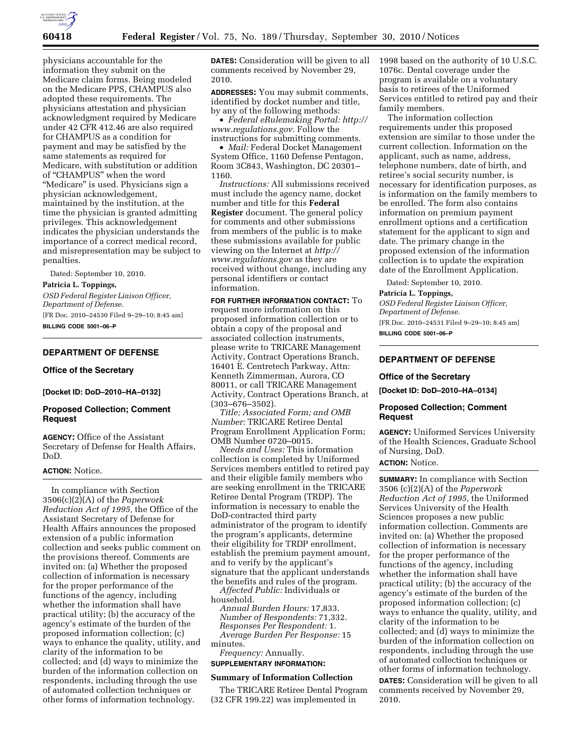

physicians accountable for the information they submit on the Medicare claim forms. Being modeled on the Medicare PPS, CHAMPUS also adopted these requirements. The physicians attestation and physician acknowledgment required by Medicare under 42 CFR 412.46 are also required for CHAMPUS as a condition for payment and may be satisfied by the same statements as required for Medicare, with substitution or addition of ''CHAMPUS'' when the word "Medicare" is used. Physicians sign a physician acknowledgement, maintained by the institution, at the time the physician is granted admitting privileges. This acknowledgement indicates the physician understands the importance of a correct medical record, and misrepresentation may be subject to penalties.

Dated: September 10, 2010.

#### **Patricia L. Toppings,**

*OSD Federal Register Liaison Officer, Department of Defense.*  [FR Doc. 2010–24530 Filed 9–29–10; 8:45 am]

**BILLING CODE 5001–06–P** 

#### **DEPARTMENT OF DEFENSE**

#### **Office of the Secretary**

**[Docket ID: DoD–2010–HA–0132]** 

### **Proposed Collection; Comment Request**

**AGENCY:** Office of the Assistant Secretary of Defense for Health Affairs, DoD.

### **ACTION:** Notice.

In compliance with Section 3506(c)(2)(A) of the *Paperwork Reduction Act of 1995,* the Office of the Assistant Secretary of Defense for Health Affairs announces the proposed extension of a public information collection and seeks public comment on the provisions thereof. Comments are invited on: (a) Whether the proposed collection of information is necessary for the proper performance of the functions of the agency, including whether the information shall have practical utility; (b) the accuracy of the agency's estimate of the burden of the proposed information collection; (c) ways to enhance the quality, utility, and clarity of the information to be collected; and (d) ways to minimize the burden of the information collection on respondents, including through the use of automated collection techniques or other forms of information technology.

**DATES:** Consideration will be given to all comments received by November 29, 2010.

**ADDRESSES:** You may submit comments, identified by docket number and title, by any of the following methods:

• *Federal eRulemaking Portal: [http://](http://www.regulations.gov)  [www.regulations.gov](http://www.regulations.gov)*. Follow the instructions for submitting comments.

• *Mail:* Federal Docket Management System Office, 1160 Defense Pentagon, Room 3C843, Washington, DC 20301– 1160.

*Instructions:* All submissions received must include the agency name, docket number and title for this **Federal Register** document. The general policy for comments and other submissions from members of the public is to make these submissions available for public viewing on the Internet at *[http://](http://www.regulations.gov) [www.regulations.gov](http://www.regulations.gov)* as they are received without change, including any personal identifiers or contact information.

**FOR FURTHER INFORMATION CONTACT:** To request more information on this proposed information collection or to obtain a copy of the proposal and associated collection instruments, please write to TRICARE Management Activity, Contract Operations Branch, 16401 E. Centretech Parkway, Attn: Kenneth Zimmerman, Aurora, CO 80011, or call TRICARE Management Activity, Contract Operations Branch, at (303–676–3502).

*Title; Associated Form; and OMB Number:* TRICARE Retiree Dental Program Enrollment Application Form; OMB Number 0720–0015.

*Needs and Uses:* This information collection is completed by Uniformed Services members entitled to retired pay and their eligible family members who are seeking enrollment in the TRICARE Retiree Dental Program (TRDP). The information is necessary to enable the DoD-contracted third party administrator of the program to identify the program's applicants, determine their eligibility for TRDP enrollment, establish the premium payment amount, and to verify by the applicant's signature that the applicant understands the benefits and rules of the program.

*Affected Public:* Individuals or household.

*Annual Burden Hours:* 17,833. *Number of Respondents:* 71,332. *Responses Per Respondent:* 1. *Average Burden Per Response:* 15 minutes.

*Frequency:* Annually.

# **SUPPLEMENTARY INFORMATION:**

#### **Summary of Information Collection**

The TRICARE Retiree Dental Program (32 CFR 199.22) was implemented in

1998 based on the authority of 10 U.S.C. 1076c. Dental coverage under the program is available on a voluntary basis to retirees of the Uniformed Services entitled to retired pay and their family members.

The information collection requirements under this proposed extension are similar to those under the current collection. Information on the applicant, such as name, address, telephone numbers, date of birth, and retiree's social security number, is necessary for identification purposes, as is information on the family members to be enrolled. The form also contains information on premium payment enrollment options and a certification statement for the applicant to sign and date. The primary change in the proposed extension of the information collection is to update the expiration date of the Enrollment Application.

Dated: September 10, 2010.

#### **Patricia L. Toppings,**

*OSD Federal Register Liaison Officer, Department of Defense.*  [FR Doc. 2010–24531 Filed 9–29–10; 8:45 am] **BILLING CODE 5001–06–P** 

## **DEPARTMENT OF DEFENSE**

### **Office of the Secretary**

**[Docket ID: DoD–2010–HA–0134]** 

#### **Proposed Collection; Comment Request**

**AGENCY:** Uniformed Services University of the Health Sciences, Graduate School of Nursing, DoD.

#### **ACTION:** Notice.

**SUMMARY:** In compliance with Section 3506 (c)(2)(A) of the *Paperwork Reduction Act of 1995,* the Uniformed Services University of the Health Sciences proposes a new public information collection. Comments are invited on: (a) Whether the proposed collection of information is necessary for the proper performance of the functions of the agency, including whether the information shall have practical utility; (b) the accuracy of the agency's estimate of the burden of the proposed information collection; (c) ways to enhance the quality, utility, and clarity of the information to be collected; and (d) ways to minimize the burden of the information collection on respondents, including through the use of automated collection techniques or other forms of information technology.

**DATES:** Consideration will be given to all comments received by November 29, 2010.